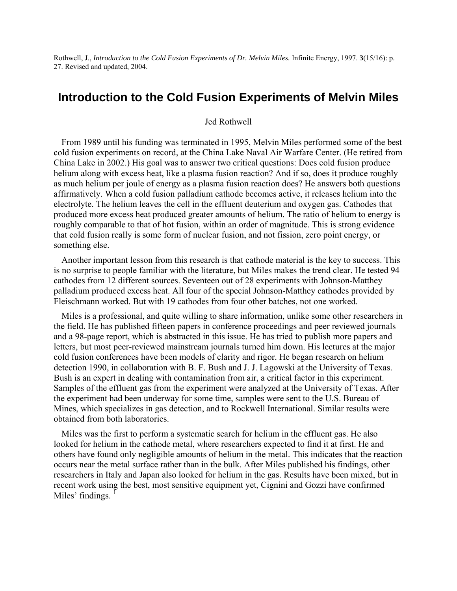Rothwell, J., *Introduction to the Cold Fusion Experiments of Dr. Melvin Miles.* Infinite Energy, 1997. **3**(15/16): p. 27. Revised and updated, 2004.

# **Introduction to the Cold Fusion Experiments of Melvin Miles**

Jed Rothwell

From 1989 until his funding was terminated in 1995, Melvin Miles performed some of the best cold fusion experiments on record, at the China Lake Naval Air Warfare Center. (He retired from China Lake in 2002.) His goal was to answer two critical questions: Does cold fusion produce helium along with excess heat, like a plasma fusion reaction? And if so, does it produce roughly as much helium per joule of energy as a plasma fusion reaction does? He answers both questions affirmatively. When a cold fusion palladium cathode becomes active, it releases helium into the electrolyte. The helium leaves the cell in the effluent deuterium and oxygen gas. Cathodes that produced more excess heat produced greater amounts of helium. The ratio of helium to energy is roughly comparable to that of hot fusion, within an order of magnitude. This is strong evidence that cold fusion really is some form of nuclear fusion, and not fission, zero point energy, or something else.

Another important lesson from this research is that cathode material is the key to success. This is no surprise to people familiar with the literature, but Miles makes the trend clear. He tested 94 cathodes from 12 different sources. Seventeen out of 28 experiments with Johnson-Matthey palladium produced excess heat. All four of the special Johnson-Matthey cathodes provided by Fleischmann worked. But with 19 cathodes from four other batches, not one worked.

Miles is a professional, and quite willing to share information, unlike some other researchers in the field. He has published fifteen papers in conference proceedings and peer reviewed journals and a 98-page report, which is abstracted in this issue. He has tried to publish more papers and letters, but most peer-reviewed mainstream journals turned him down. His lectures at the major cold fusion conferences have been models of clarity and rigor. He began research on helium detection 1990, in collaboration with B. F. Bush and J. J. Lagowski at the University of Texas. Bush is an expert in dealing with contamination from air, a critical factor in this experiment. Samples of the effluent gas from the experiment were analyzed at the University of Texas. After the experiment had been underway for some time, samples were sent to the U.S. Bureau of Mines, which specializes in gas detection, and to Rockwell International. Similar results were obtained from both laboratories.

Miles was the first to perform a systematic search for helium in the effluent gas. He also looked for helium in the cathode metal, where researchers expected to find it at first. He and others have found only negligible amounts of helium in the metal. This indicates that the reaction occurs near the metal surface rather than in the bulk. After Miles published his findings, other researchers in Italy and Japan also looked for helium in the gas. Results have been mixed, but in recent work using the best, most sensitive equipment yet, Cignini and Gozzi have confirmed Miles' findings.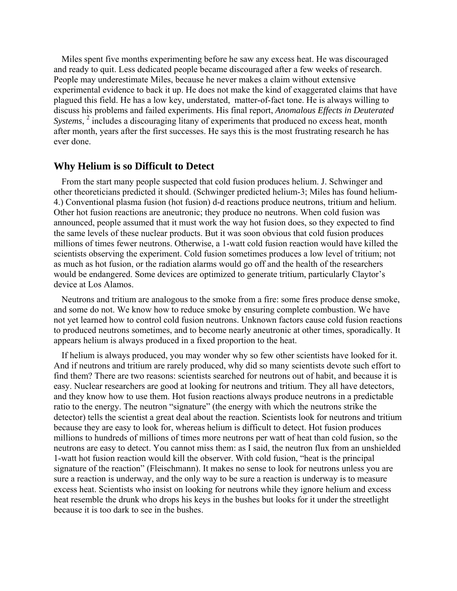Miles spent five months experimenting before he saw any excess heat. He was discouraged and ready to quit. Less dedicated people became discouraged after a few weeks of research. People may underestimate Miles, because he never makes a claim without extensive experimental evidence to back it up. He does not make the kind of exaggerated claims that have plagued this field. He has a low key, understated, matter-of-fact tone. He is always willing to discuss his problems and failed experiments. His final report, *Anomalous Effects in Deuterated*  Systems, <sup>2</sup> includes a discouraging litany of experiments that produced no excess heat, month after month, years after the first successes. He says this is the most frustrating research he has ever done.

#### **Why Helium is so Difficult to Detect**

From the start many people suspected that cold fusion produces helium. J. Schwinger and other theoreticians predicted it should. (Schwinger predicted helium-3; Miles has found helium-4.) Conventional plasma fusion (hot fusion) d-d reactions produce neutrons, tritium and helium. Other hot fusion reactions are aneutronic; they produce no neutrons. When cold fusion was announced, people assumed that it must work the way hot fusion does, so they expected to find the same levels of these nuclear products. But it was soon obvious that cold fusion produces millions of times fewer neutrons. Otherwise, a 1-watt cold fusion reaction would have killed the scientists observing the experiment. Cold fusion sometimes produces a low level of tritium; not as much as hot fusion, or the radiation alarms would go off and the health of the researchers would be endangered. Some devices are optimized to generate tritium, particularly Claytor's device at Los Alamos.

Neutrons and tritium are analogous to the smoke from a fire: some fires produce dense smoke, and some do not. We know how to reduce smoke by ensuring complete combustion. We have not yet learned how to control cold fusion neutrons. Unknown factors cause cold fusion reactions to produced neutrons sometimes, and to become nearly aneutronic at other times, sporadically. It appears helium is always produced in a fixed proportion to the heat.

If helium is always produced, you may wonder why so few other scientists have looked for it. And if neutrons and tritium are rarely produced, why did so many scientists devote such effort to find them? There are two reasons: scientists searched for neutrons out of habit, and because it is easy. Nuclear researchers are good at looking for neutrons and tritium. They all have detectors, and they know how to use them. Hot fusion reactions always produce neutrons in a predictable ratio to the energy. The neutron "signature" (the energy with which the neutrons strike the detector) tells the scientist a great deal about the reaction. Scientists look for neutrons and tritium because they are easy to look for, whereas helium is difficult to detect. Hot fusion produces millions to hundreds of millions of times more neutrons per watt of heat than cold fusion, so the neutrons are easy to detect. You cannot miss them: as I said, the neutron flux from an unshielded 1-watt hot fusion reaction would kill the observer. With cold fusion, "heat is the principal signature of the reaction" (Fleischmann). It makes no sense to look for neutrons unless you are sure a reaction is underway, and the only way to be sure a reaction is underway is to measure excess heat. Scientists who insist on looking for neutrons while they ignore helium and excess heat resemble the drunk who drops his keys in the bushes but looks for it under the streetlight because it is too dark to see in the bushes.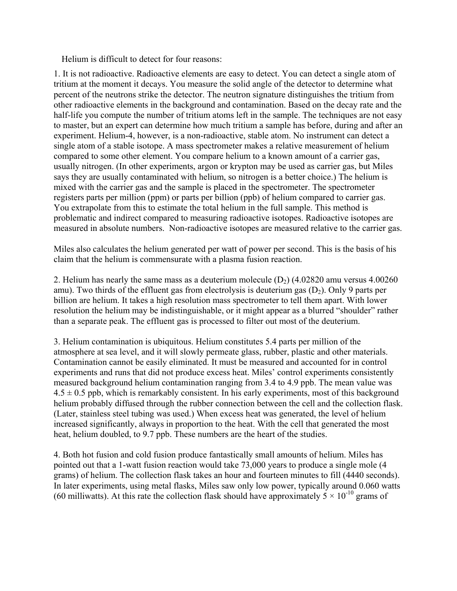Helium is difficult to detect for four reasons:

1. It is not radioactive. Radioactive elements are easy to detect. You can detect a single atom of tritium at the moment it decays. You measure the solid angle of the detector to determine what percent of the neutrons strike the detector. The neutron signature distinguishes the tritium from other radioactive elements in the background and contamination. Based on the decay rate and the half-life you compute the number of tritium atoms left in the sample. The techniques are not easy to master, but an expert can determine how much tritium a sample has before, during and after an experiment. Helium-4, however, is a non-radioactive, stable atom. No instrument can detect a single atom of a stable isotope. A mass spectrometer makes a relative measurement of helium compared to some other element. You compare helium to a known amount of a carrier gas, usually nitrogen. (In other experiments, argon or krypton may be used as carrier gas, but Miles says they are usually contaminated with helium, so nitrogen is a better choice.) The helium is mixed with the carrier gas and the sample is placed in the spectrometer. The spectrometer registers parts per million (ppm) or parts per billion (ppb) of helium compared to carrier gas. You extrapolate from this to estimate the total helium in the full sample. This method is problematic and indirect compared to measuring radioactive isotopes. Radioactive isotopes are measured in absolute numbers. Non-radioactive isotopes are measured relative to the carrier gas.

Miles also calculates the helium generated per watt of power per second. This is the basis of his claim that the helium is commensurate with a plasma fusion reaction.

2. Helium has nearly the same mass as a deuterium molecule  $(D_2)$  (4.02820 amu versus 4.00260 amu). Two thirds of the effluent gas from electrolysis is deuterium gas  $(D_2)$ . Only 9 parts per billion are helium. It takes a high resolution mass spectrometer to tell them apart. With lower resolution the helium may be indistinguishable, or it might appear as a blurred "shoulder" rather than a separate peak. The effluent gas is processed to filter out most of the deuterium.

3. Helium contamination is ubiquitous. Helium constitutes 5.4 parts per million of the atmosphere at sea level, and it will slowly permeate glass, rubber, plastic and other materials. Contamination cannot be easily eliminated. It must be measured and accounted for in control experiments and runs that did not produce excess heat. Miles' control experiments consistently measured background helium contamination ranging from 3.4 to 4.9 ppb. The mean value was  $4.5 \pm 0.5$  ppb, which is remarkably consistent. In his early experiments, most of this background helium probably diffused through the rubber connection between the cell and the collection flask. (Later, stainless steel tubing was used.) When excess heat was generated, the level of helium increased significantly, always in proportion to the heat. With the cell that generated the most heat, helium doubled, to 9.7 ppb. These numbers are the heart of the studies.

4. Both hot fusion and cold fusion produce fantastically small amounts of helium. Miles has pointed out that a 1-watt fusion reaction would take 73,000 years to produce a single mole (4 grams) of helium. The collection flask takes an hour and fourteen minutes to fill (4440 seconds). In later experiments, using metal flasks, Miles saw only low power, typically around 0.060 watts (60 milliwatts). At this rate the collection flask should have approximately  $5 \times 10^{-10}$  grams of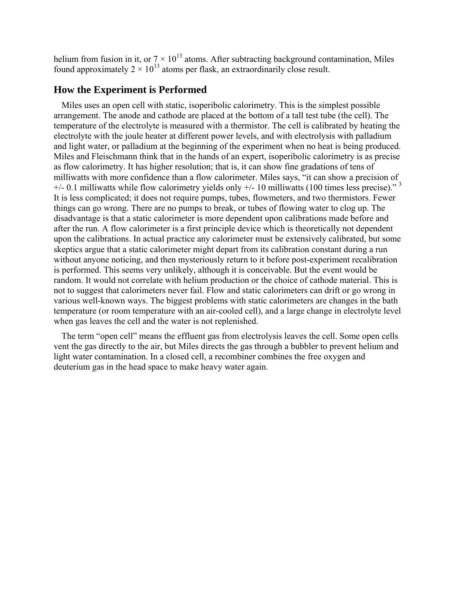helium from fusion in it, or  $7 \times 10^{13}$  atoms. After subtracting background contamination, Miles found approximately  $2 \times 10^{13}$  atoms per flask, an extraordinarily close result.

## **How the Experiment is Performed**

Miles uses an open cell with static, isoperibolic calorimetry. This is the simplest possible arrangement. The anode and cathode are placed at the bottom of a tall test tube (the cell). The temperature of the electrolyte is measured with a thermistor. The cell is calibrated by heating the electrolyte with the joule heater at different power levels, and with electrolysis with palladium and light water, or palladium at the beginning of the experiment when no heat is being produced. Miles and Fleischmann think that in the hands of an expert, isoperibolic calorimetry is as precise as flow calorimetry. It has higher resolution; that is, it can show fine gradations of tens of milliwatts with more confidence than a flow calorimeter. Miles says, "it can show a precision of  $+/- 0.1$  milliwatts while flow calorimetry yields only  $+/- 10$  milliwatts (100 times less precise).<sup>3</sup> It is less complicated; it does not require pumps, tubes, flowmeters, and two thermistors. Fewer things can go wrong. There are no pumps to break, or tubes of flowing water to clog up. The disadvantage is that a static calorimeter is more dependent upon calibrations made before and after the run. A flow calorimeter is a first principle device which is theoretically not dependent upon the calibrations. In actual practice any calorimeter must be extensively calibrated, but some skeptics argue that a static calorimeter might depart from its calibration constant during a run without anyone noticing, and then mysteriously return to it before post-experiment recalibration is performed. This seems very unlikely, although it is conceivable. But the event would be random. It would not correlate with helium production or the choice of cathode material. This is not to suggest that calorimeters never fail. Flow and static calorimeters can drift or go wrong in various well-known ways. The biggest problems with static calorimeters are changes in the bath temperature (or room temperature with an air-cooled cell), and a large change in electrolyte level when gas leaves the cell and the water is not replenished.

The term "open cell" means the effluent gas from electrolysis leaves the cell. Some open cells vent the gas directly to the air, but Miles directs the gas through a bubbler to prevent helium and light water contamination. In a closed cell, a recombiner combines the free oxygen and deuterium gas in the head space to make heavy water again.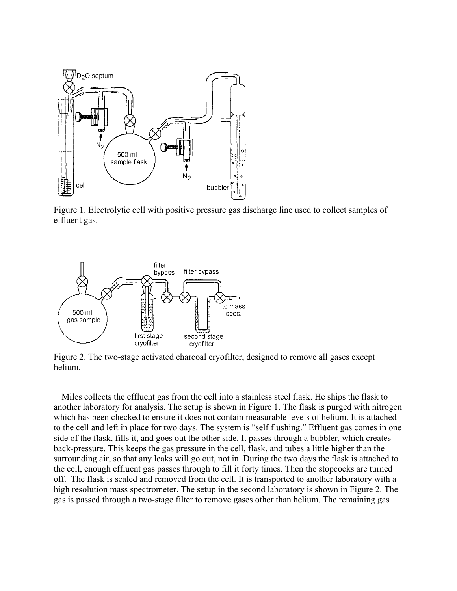

Figure 1. Electrolytic cell with positive pressure gas discharge line used to collect samples of effluent gas.



Figure 2. The two-stage activated charcoal cryofilter, designed to remove all gases except helium.

Miles collects the effluent gas from the cell into a stainless steel flask. He ships the flask to another laboratory for analysis. The setup is shown in Figure 1. The flask is purged with nitrogen which has been checked to ensure it does not contain measurable levels of helium. It is attached to the cell and left in place for two days. The system is "self flushing." Effluent gas comes in one side of the flask, fills it, and goes out the other side. It passes through a bubbler, which creates back-pressure. This keeps the gas pressure in the cell, flask, and tubes a little higher than the surrounding air, so that any leaks will go out, not in. During the two days the flask is attached to the cell, enough effluent gas passes through to fill it forty times. Then the stopcocks are turned off. The flask is sealed and removed from the cell. It is transported to another laboratory with a high resolution mass spectrometer. The setup in the second laboratory is shown in Figure 2. The gas is passed through a two-stage filter to remove gases other than helium. The remaining gas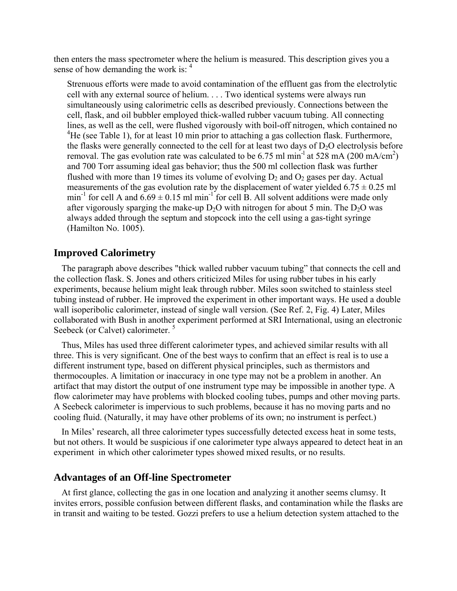then enters the mass spectrometer where the helium is measured. This description gives you a sense of how demanding the work is: 4

Strenuous efforts were made to avoid contamination of the effluent gas from the electrolytic cell with any external source of helium. . . . Two identical systems were always run simultaneously using calorimetric cells as described previously. Connections between the cell, flask, and oil bubbler employed thick-walled rubber vacuum tubing. All connecting lines, as well as the cell, were flushed vigorously with boil-off nitrogen, which contained no <sup>4</sup>He (see Table 1), for at least 10 min prior to attaching a gas collection flask. Furthermore, the flasks were generally connected to the cell for at least two days of  $D_2O$  electrolysis before removal. The gas evolution rate was calculated to be 6.75 ml min<sup>-1</sup> at 528 mA (200 mA/cm<sup>2</sup>) and 700 Torr assuming ideal gas behavior; thus the 500 ml collection flask was further flushed with more than 19 times its volume of evolving  $D_2$  and  $O_2$  gases per day. Actual measurements of the gas evolution rate by the displacement of water yielded  $6.75 \pm 0.25$  ml min<sup>-1</sup> for cell A and  $6.69 \pm 0.15$  ml min<sup>-1</sup> for cell B. All solvent additions were made only after vigorously sparging the make-up  $D_2O$  with nitrogen for about 5 min. The  $D_2O$  was always added through the septum and stopcock into the cell using a gas-tight syringe (Hamilton No. 1005).

#### **Improved Calorimetry**

The paragraph above describes "thick walled rubber vacuum tubing" that connects the cell and the collection flask. S. Jones and others criticized Miles for using rubber tubes in his early experiments, because helium might leak through rubber. Miles soon switched to stainless steel tubing instead of rubber. He improved the experiment in other important ways. He used a double wall isoperibolic calorimeter, instead of single wall version. (See Ref. 2, Fig. 4) Later, Miles collaborated with Bush in another experiment performed at SRI International, using an electronic Seebeck (or Calvet) calorimeter.<sup>5</sup>

Thus, Miles has used three different calorimeter types, and achieved similar results with all three. This is very significant. One of the best ways to confirm that an effect is real is to use a different instrument type, based on different physical principles, such as thermistors and thermocouples. A limitation or inaccuracy in one type may not be a problem in another. An artifact that may distort the output of one instrument type may be impossible in another type. A flow calorimeter may have problems with blocked cooling tubes, pumps and other moving parts. A Seebeck calorimeter is impervious to such problems, because it has no moving parts and no cooling fluid. (Naturally, it may have other problems of its own; no instrument is perfect.)

In Miles' research, all three calorimeter types successfully detected excess heat in some tests, but not others. It would be suspicious if one calorimeter type always appeared to detect heat in an experiment in which other calorimeter types showed mixed results, or no results.

#### **Advantages of an Off-line Spectrometer**

At first glance, collecting the gas in one location and analyzing it another seems clumsy. It invites errors, possible confusion between different flasks, and contamination while the flasks are in transit and waiting to be tested. Gozzi prefers to use a helium detection system attached to the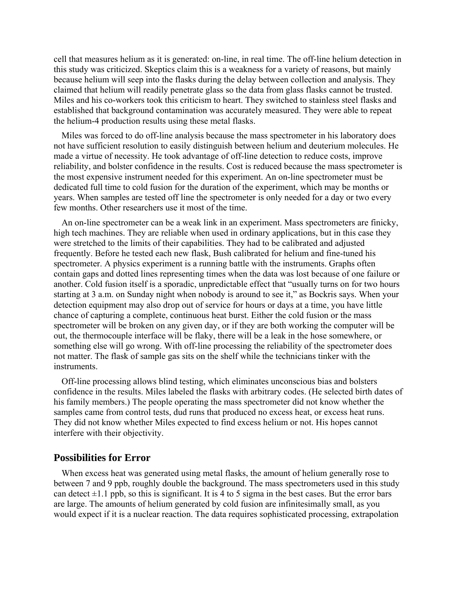cell that measures helium as it is generated: on-line, in real time. The off-line helium detection in this study was criticized. Skeptics claim this is a weakness for a variety of reasons, but mainly because helium will seep into the flasks during the delay between collection and analysis. They claimed that helium will readily penetrate glass so the data from glass flasks cannot be trusted. Miles and his co-workers took this criticism to heart. They switched to stainless steel flasks and established that background contamination was accurately measured. They were able to repeat the helium-4 production results using these metal flasks.

Miles was forced to do off-line analysis because the mass spectrometer in his laboratory does not have sufficient resolution to easily distinguish between helium and deuterium molecules. He made a virtue of necessity. He took advantage of off-line detection to reduce costs, improve reliability, and bolster confidence in the results. Cost is reduced because the mass spectrometer is the most expensive instrument needed for this experiment. An on-line spectrometer must be dedicated full time to cold fusion for the duration of the experiment, which may be months or years. When samples are tested off line the spectrometer is only needed for a day or two every few months. Other researchers use it most of the time.

An on-line spectrometer can be a weak link in an experiment. Mass spectrometers are finicky, high tech machines. They are reliable when used in ordinary applications, but in this case they were stretched to the limits of their capabilities. They had to be calibrated and adjusted frequently. Before he tested each new flask, Bush calibrated for helium and fine-tuned his spectrometer. A physics experiment is a running battle with the instruments. Graphs often contain gaps and dotted lines representing times when the data was lost because of one failure or another. Cold fusion itself is a sporadic, unpredictable effect that "usually turns on for two hours starting at 3 a.m. on Sunday night when nobody is around to see it," as Bockris says. When your detection equipment may also drop out of service for hours or days at a time, you have little chance of capturing a complete, continuous heat burst. Either the cold fusion or the mass spectrometer will be broken on any given day, or if they are both working the computer will be out, the thermocouple interface will be flaky, there will be a leak in the hose somewhere, or something else will go wrong. With off-line processing the reliability of the spectrometer does not matter. The flask of sample gas sits on the shelf while the technicians tinker with the instruments.

Off-line processing allows blind testing, which eliminates unconscious bias and bolsters confidence in the results. Miles labeled the flasks with arbitrary codes. (He selected birth dates of his family members.) The people operating the mass spectrometer did not know whether the samples came from control tests, dud runs that produced no excess heat, or excess heat runs. They did not know whether Miles expected to find excess helium or not. His hopes cannot interfere with their objectivity.

### **Possibilities for Error**

When excess heat was generated using metal flasks, the amount of helium generally rose to between 7 and 9 ppb, roughly double the background. The mass spectrometers used in this study can detect  $\pm 1.1$  ppb, so this is significant. It is 4 to 5 sigma in the best cases. But the error bars are large. The amounts of helium generated by cold fusion are infinitesimally small, as you would expect if it is a nuclear reaction. The data requires sophisticated processing, extrapolation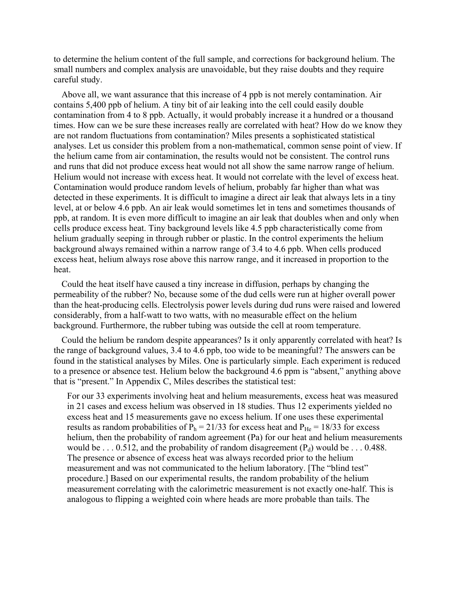to determine the helium content of the full sample, and corrections for background helium. The small numbers and complex analysis are unavoidable, but they raise doubts and they require careful study.

Above all, we want assurance that this increase of 4 ppb is not merely contamination. Air contains 5,400 ppb of helium. A tiny bit of air leaking into the cell could easily double contamination from 4 to 8 ppb. Actually, it would probably increase it a hundred or a thousand times. How can we be sure these increases really are correlated with heat? How do we know they are not random fluctuations from contamination? Miles presents a sophisticated statistical analyses. Let us consider this problem from a non-mathematical, common sense point of view. If the helium came from air contamination, the results would not be consistent. The control runs and runs that did not produce excess heat would not all show the same narrow range of helium. Helium would not increase with excess heat. It would not correlate with the level of excess heat. Contamination would produce random levels of helium, probably far higher than what was detected in these experiments. It is difficult to imagine a direct air leak that always lets in a tiny level, at or below 4.6 ppb. An air leak would sometimes let in tens and sometimes thousands of ppb, at random. It is even more difficult to imagine an air leak that doubles when and only when cells produce excess heat. Tiny background levels like 4.5 ppb characteristically come from helium gradually seeping in through rubber or plastic. In the control experiments the helium background always remained within a narrow range of 3.4 to 4.6 ppb. When cells produced excess heat, helium always rose above this narrow range, and it increased in proportion to the heat.

Could the heat itself have caused a tiny increase in diffusion, perhaps by changing the permeability of the rubber? No, because some of the dud cells were run at higher overall power than the heat-producing cells. Electrolysis power levels during dud runs were raised and lowered considerably, from a half-watt to two watts, with no measurable effect on the helium background. Furthermore, the rubber tubing was outside the cell at room temperature.

Could the helium be random despite appearances? Is it only apparently correlated with heat? Is the range of background values, 3.4 to 4.6 ppb, too wide to be meaningful? The answers can be found in the statistical analyses by Miles. One is particularly simple. Each experiment is reduced to a presence or absence test. Helium below the background 4.6 ppm is "absent," anything above that is "present." In Appendix C, Miles describes the statistical test:

For our 33 experiments involving heat and helium measurements, excess heat was measured in 21 cases and excess helium was observed in 18 studies. Thus 12 experiments yielded no excess heat and 15 measurements gave no excess helium. If one uses these experimental results as random probabilities of  $\bar{P}_h = 21/33$  for excess heat and  $P_{He} = 18/33$  for excess helium, then the probability of random agreement (Pa) for our heat and helium measurements would be . . . 0.512, and the probability of random disagreement  $(P_d)$  would be . . . 0.488. The presence or absence of excess heat was always recorded prior to the helium measurement and was not communicated to the helium laboratory. [The "blind test" procedure.] Based on our experimental results, the random probability of the helium measurement correlating with the calorimetric measurement is not exactly one-half. This is analogous to flipping a weighted coin where heads are more probable than tails. The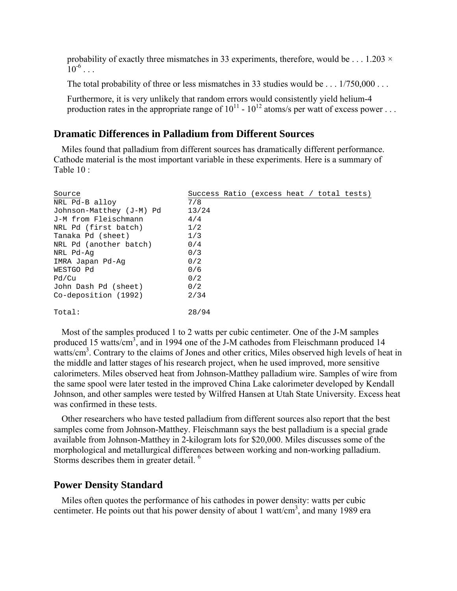probability of exactly three mismatches in 33 experiments, therefore, would be  $\dots$  1.203  $\times$  $10^{-6}$  . . .

The total probability of three or less mismatches in 33 studies would be . . . 1/750,000 . . .

Furthermore, it is very unlikely that random errors would consistently yield helium-4 production rates in the appropriate range of  $10^{11}$  -  $10^{12}$  atoms/s per watt of excess power ...

### **Dramatic Differences in Palladium from Different Sources**

Miles found that palladium from different sources has dramatically different performance. Cathode material is the most important variable in these experiments. Here is a summary of Table  $10 \cdot$ 

| Source                   | Success Ratio (excess heat / total tests) |
|--------------------------|-------------------------------------------|
| NRL Pd-B alloy           | 7/8                                       |
| Johnson-Matthey (J-M) Pd | 13/24                                     |
| J-M from Fleischmann     | 4/4                                       |
| NRL Pd (first batch)     | 1/2                                       |
| Tanaka Pd (sheet)        | 1/3                                       |
| NRL Pd (another batch)   | 0/4                                       |
| NRL Pd-Aq                | 0/3                                       |
| IMRA Japan Pd-Aq         | 0/2                                       |
| WESTGO Pd                | 0/6                                       |
| Pd/Cu                    | 0/2                                       |
| John Dash Pd (sheet)     | 0/2                                       |
| Co-deposition (1992)     | 2/34                                      |
| Total:                   | 28/94                                     |

Most of the samples produced 1 to 2 watts per cubic centimeter. One of the J-M samples produced 15 watts/cm<sup>3</sup>, and in 1994 one of the J-M cathodes from Fleischmann produced 14 watts/cm<sup>3</sup>. Contrary to the claims of Jones and other critics, Miles observed high levels of heat in the middle and latter stages of his research project, when he used improved, more sensitive calorimeters. Miles observed heat from Johnson-Matthey palladium wire. Samples of wire from the same spool were later tested in the improved China Lake calorimeter developed by Kendall Johnson, and other samples were tested by Wilfred Hansen at Utah State University. Excess heat was confirmed in these tests.

Other researchers who have tested palladium from different sources also report that the best samples come from Johnson-Matthey. Fleischmann says the best palladium is a special grade available from Johnson-Matthey in 2-kilogram lots for \$20,000. Miles discusses some of the morphological and metallurgical differences between working and non-working palladium. Storms describes them in greater detail.<sup>6</sup>

### **Power Density Standard**

Miles often quotes the performance of his cathodes in power density: watts per cubic centimeter. He points out that his power density of about 1 watt/ $\text{cm}^3$ , and many 1989 era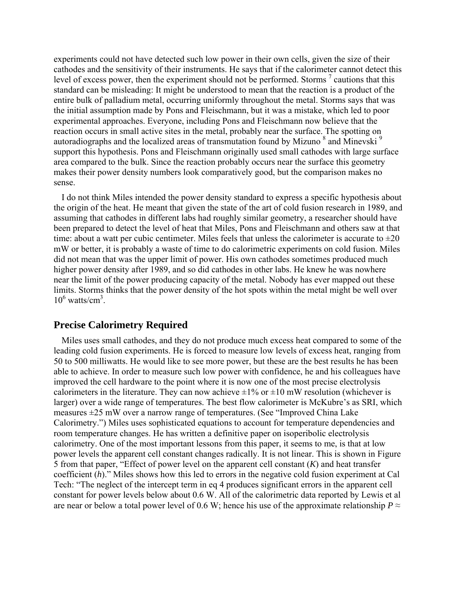experiments could not have detected such low power in their own cells, given the size of their cathodes and the sensitivity of their instruments. He says that if the calorimeter cannot detect this level of excess power, then the experiment should not be performed. Storms  $\frac{7}{1}$  cautions that this standard can be misleading: It might be understood to mean that the reaction is a product of the entire bulk of palladium metal, occurring uniformly throughout the metal. Storms says that was the initial assumption made by Pons and Fleischmann, but it was a mistake, which led to poor experimental approaches. Everyone, including Pons and Fleischmann now believe that the reaction occurs in small active sites in the metal, probably near the surface. The spotting on autoradiographs and the localized areas of transmutation found by Mizuno  $^8$  and Minevski<sup>9</sup> support this hypothesis. Pons and Fleischmann originally used small cathodes with large surface area compared to the bulk. Since the reaction probably occurs near the surface this geometry makes their power density numbers look comparatively good, but the comparison makes no sense.

I do not think Miles intended the power density standard to express a specific hypothesis about the origin of the heat. He meant that given the state of the art of cold fusion research in 1989, and assuming that cathodes in different labs had roughly similar geometry, a researcher should have been prepared to detect the level of heat that Miles, Pons and Fleischmann and others saw at that time: about a watt per cubic centimeter. Miles feels that unless the calorimeter is accurate to  $\pm 20$ mW or better, it is probably a waste of time to do calorimetric experiments on cold fusion. Miles did not mean that was the upper limit of power. His own cathodes sometimes produced much higher power density after 1989, and so did cathodes in other labs. He knew he was nowhere near the limit of the power producing capacity of the metal. Nobody has ever mapped out these limits. Storms thinks that the power density of the hot spots within the metal might be well over  $10^6$  watts/cm<sup>3</sup>.

# **Precise Calorimetry Required**

Miles uses small cathodes, and they do not produce much excess heat compared to some of the leading cold fusion experiments. He is forced to measure low levels of excess heat, ranging from 50 to 500 milliwatts. He would like to see more power, but these are the best results he has been able to achieve. In order to measure such low power with confidence, he and his colleagues have improved the cell hardware to the point where it is now one of the most precise electrolysis calorimeters in the literature. They can now achieve  $\pm 1\%$  or  $\pm 10$  mW resolution (whichever is larger) over a wide range of temperatures. The best flow calorimeter is McKubre's as SRI, which measures  $\pm 25$  mW over a narrow range of temperatures. (See "Improved China Lake Calorimetry.") Miles uses sophisticated equations to account for temperature dependencies and room temperature changes. He has written a definitive paper on isoperibolic electrolysis calorimetry. One of the most important lessons from this paper, it seems to me, is that at low power levels the apparent cell constant changes radically. It is not linear. This is shown in Figure 5 from that paper, "Effect of power level on the apparent cell constant  $(K)$  and heat transfer coefficient  $(h)$ ." Miles shows how this led to errors in the negative cold fusion experiment at Cal Tech: "The neglect of the intercept term in eq 4 produces significant errors in the apparent cell constant for power levels below about 0.6 W. All of the calorimetric data reported by Lewis et al are near or below a total power level of 0.6 W; hence his use of the approximate relationship  $P \approx$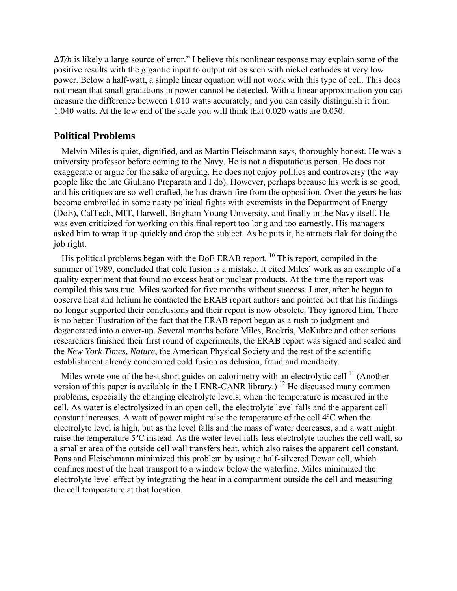$\Delta T/h$  is likely a large source of error." I believe this nonlinear response may explain some of the positive results with the gigantic input to output ratios seen with nickel cathodes at very low power. Below a half-watt, a simple linear equation will not work with this type of cell. This does not mean that small gradations in power cannot be detected. With a linear approximation you can measure the difference between 1.010 watts accurately, and you can easily distinguish it from 1.040 watts. At the low end of the scale you will think that 0.020 watts are 0.050.

### **Political Problems**

Melvin Miles is quiet, dignified, and as Martin Fleischmann says, thoroughly honest. He was a university professor before coming to the Navy. He is not a disputatious person. He does not exaggerate or argue for the sake of arguing. He does not enjoy politics and controversy (the way people like the late Giuliano Preparata and I do). However, perhaps because his work is so good, and his critiques are so well crafted, he has drawn fire from the opposition. Over the years he has become embroiled in some nasty political fights with extremists in the Department of Energy (DoE), CalTech, MIT, Harwell, Brigham Young University, and finally in the Navy itself. He was even criticized for working on this final report too long and too earnestly. His managers asked him to wrap it up quickly and drop the subject. As he puts it, he attracts flak for doing the job right.

His political problems began with the DoE ERAB report. 10 This report, compiled in the summer of 1989, concluded that cold fusion is a mistake. It cited Miles' work as an example of a quality experiment that found no excess heat or nuclear products. At the time the report was compiled this was true. Miles worked for five months without success. Later, after he began to observe heat and helium he contacted the ERAB report authors and pointed out that his findings no longer supported their conclusions and their report is now obsolete. They ignored him. There is no better illustration of the fact that the ERAB report began as a rush to judgment and degenerated into a cover-up. Several months before Miles, Bockris, McKubre and other serious researchers finished their first round of experiments, the ERAB report was signed and sealed and the *New York Times*, *Nature*, the American Physical Society and the rest of the scientific establishment already condemned cold fusion as delusion, fraud and mendacity.

Miles wrote one of the best short guides on calorimetry with an electrolytic cell  $<sup>11</sup>$  (Another</sup> version of this paper is available in the LENR-CANR library.)<sup>12</sup> He discussed many common problems, especially the changing electrolyte levels, when the temperature is measured in the cell. As water is electrolysized in an open cell, the electrolyte level falls and the apparent cell constant increases. A watt of power might raise the temperature of the cell 4ºC when the electrolyte level is high, but as the level falls and the mass of water decreases, and a watt might raise the temperature 5ºC instead. As the water level falls less electrolyte touches the cell wall, so a smaller area of the outside cell wall transfers heat, which also raises the apparent cell constant. Pons and Fleischmann minimized this problem by using a half-silvered Dewar cell, which confines most of the heat transport to a window below the waterline. Miles minimized the electrolyte level effect by integrating the heat in a compartment outside the cell and measuring the cell temperature at that location.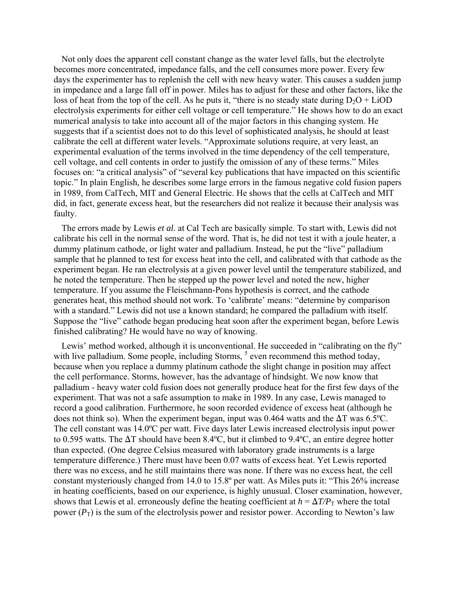Not only does the apparent cell constant change as the water level falls, but the electrolyte becomes more concentrated, impedance falls, and the cell consumes more power. Every few days the experimenter has to replenish the cell with new heavy water. This causes a sudden jump in impedance and a large fall off in power. Miles has to adjust for these and other factors, like the loss of heat from the top of the cell. As he puts it, "there is no steady state during  $D_2O + LiOD$ electrolysis experiments for either cell voltage or cell temperature." He shows how to do an exact numerical analysis to take into account all of the major factors in this changing system. He suggests that if a scientist does not to do this level of sophisticated analysis, he should at least calibrate the cell at different water levels. "Approximate solutions require, at very least, an experimental evaluation of the terms involved in the time dependency of the cell temperature, cell voltage, and cell contents in order to justify the omission of any of these terms." Miles focuses on: "a critical analysis" of "several key publications that have impacted on this scientific topic.î In plain English, he describes some large errors in the famous negative cold fusion papers in 1989, from CalTech, MIT and General Electric. He shows that the cells at CalTech and MIT did, in fact, generate excess heat, but the researchers did not realize it because their analysis was faulty.

The errors made by Lewis *et al.* at Cal Tech are basically simple. To start with, Lewis did not calibrate his cell in the normal sense of the word. That is, he did not test it with a joule heater, a dummy platinum cathode, or light water and palladium. Instead, he put the "live" palladium sample that he planned to test for excess heat into the cell, and calibrated with that cathode as the experiment began. He ran electrolysis at a given power level until the temperature stabilized, and he noted the temperature. Then he stepped up the power level and noted the new, higher temperature. If you assume the Fleischmann-Pons hypothesis is correct, and the cathode generates heat, this method should not work. To 'calibrate' means: "determine by comparison with a standard." Lewis did not use a known standard; he compared the palladium with itself. Suppose the "live" cathode began producing heat soon after the experiment began, before Lewis finished calibrating? He would have no way of knowing.

Lewis' method worked, although it is unconventional. He succeeded in "calibrating on the fly" with live palladium. Some people, including Storms,  $<sup>5</sup>$  even recommend this method today,</sup> because when you replace a dummy platinum cathode the slight change in position may affect the cell performance. Storms, however, has the advantage of hindsight. We now know that palladium - heavy water cold fusion does not generally produce heat for the first few days of the experiment. That was not a safe assumption to make in 1989. In any case, Lewis managed to record a good calibration. Furthermore, he soon recorded evidence of excess heat (although he does not think so). When the experiment began, input was 0.464 watts and the  $\Delta T$  was 6.5°C. The cell constant was 14.0ºC per watt. Five days later Lewis increased electrolysis input power to 0.595 watts. The  $\Delta T$  should have been 8.4°C, but it climbed to 9.4°C, an entire degree hotter than expected. (One degree Celsius measured with laboratory grade instruments is a large temperature difference.) There must have been 0.07 watts of excess heat. Yet Lewis reported there was no excess, and he still maintains there was none. If there was no excess heat, the cell constant mysteriously changed from 14.0 to  $15.8^{\circ}$  per watt. As Miles puts it: "This 26% increase in heating coefficients, based on our experience, is highly unusual. Closer examination, however, shows that Lewis et al. erroneously define the heating coefficient at  $h = \Delta T/P<sub>T</sub>$  where the total power  $(P_T)$  is the sum of the electrolysis power and resistor power. According to Newton's law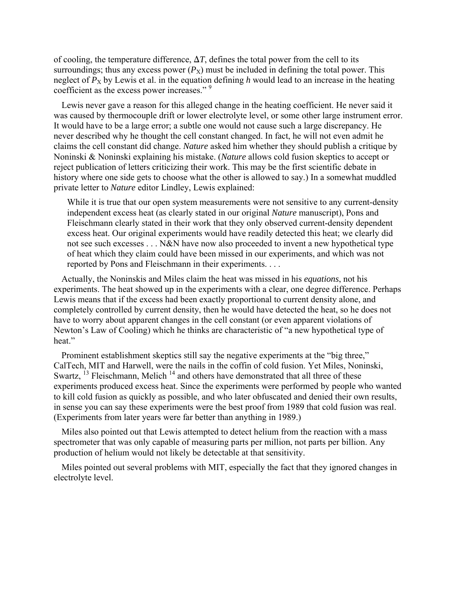of cooling, the temperature difference,  $\Delta T$ , defines the total power from the cell to its surroundings; thus any excess power  $(P_X)$  must be included in defining the total power. This neglect of  $P_X$  by Lewis et al. in the equation defining h would lead to an increase in the heating coefficient as the excess power increases."<sup>9</sup>

Lewis never gave a reason for this alleged change in the heating coefficient. He never said it was caused by thermocouple drift or lower electrolyte level, or some other large instrument error. It would have to be a large error; a subtle one would not cause such a large discrepancy. He never described why he thought the cell constant changed. In fact, he will not even admit he claims the cell constant did change. *Nature* asked him whether they should publish a critique by Noninski & Noninski explaining his mistake. (*Nature* allows cold fusion skeptics to accept or reject publication of letters criticizing their work. This may be the first scientific debate in history where one side gets to choose what the other is allowed to say.) In a somewhat muddled private letter to *Nature* editor Lindley, Lewis explained:

While it is true that our open system measurements were not sensitive to any current-density independent excess heat (as clearly stated in our original *Nature* manuscript), Pons and Fleischmann clearly stated in their work that they only observed current-density dependent excess heat. Our original experiments would have readily detected this heat; we clearly did not see such excesses . . . N&N have now also proceeded to invent a new hypothetical type of heat which they claim could have been missed in our experiments, and which was not reported by Pons and Fleischmann in their experiments. . . .

Actually, the Noninskis and Miles claim the heat was missed in his *equations*, not his experiments. The heat showed up in the experiments with a clear, one degree difference. Perhaps Lewis means that if the excess had been exactly proportional to current density alone, and completely controlled by current density, then he would have detected the heat, so he does not have to worry about apparent changes in the cell constant (or even apparent violations of Newton's Law of Cooling) which he thinks are characteristic of "a new hypothetical type of heat."

Prominent establishment skeptics still say the negative experiments at the "big three," CalTech, MIT and Harwell, were the nails in the coffin of cold fusion. Yet Miles, Noninski, Swartz,  $^{13}$  Fleischmann, Melich<sup>14</sup> and others have demonstrated that all three of these experiments produced excess heat. Since the experiments were performed by people who wanted to kill cold fusion as quickly as possible, and who later obfuscated and denied their own results, in sense you can say these experiments were the best proof from 1989 that cold fusion was real. (Experiments from later years were far better than anything in 1989.)

Miles also pointed out that Lewis attempted to detect helium from the reaction with a mass spectrometer that was only capable of measuring parts per million, not parts per billion. Any production of helium would not likely be detectable at that sensitivity.

Miles pointed out several problems with MIT, especially the fact that they ignored changes in electrolyte level.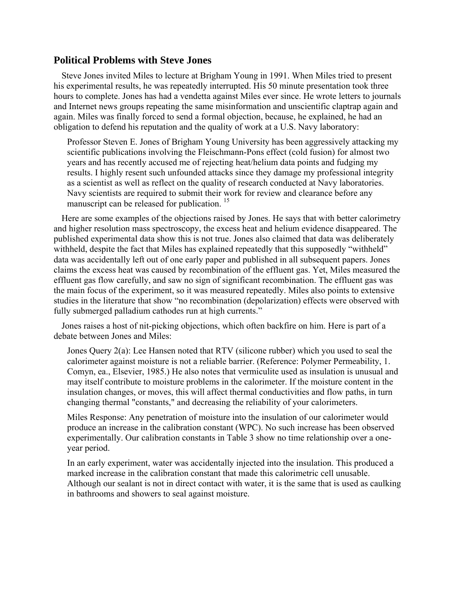### **Political Problems with Steve Jones**

Steve Jones invited Miles to lecture at Brigham Young in 1991. When Miles tried to present his experimental results, he was repeatedly interrupted. His 50 minute presentation took three hours to complete. Jones has had a vendetta against Miles ever since. He wrote letters to journals and Internet news groups repeating the same misinformation and unscientific claptrap again and again. Miles was finally forced to send a formal objection, because, he explained, he had an obligation to defend his reputation and the quality of work at a U.S. Navy laboratory:

Professor Steven E. Jones of Brigham Young University has been aggressively attacking my scientific publications involving the Fleischmann-Pons effect (cold fusion) for almost two years and has recently accused me of rejecting heat/helium data points and fudging my results. I highly resent such unfounded attacks since they damage my professional integrity as a scientist as well as reflect on the quality of research conducted at Navy laboratories. Navy scientists are required to submit their work for review and clearance before any manuscript can be released for publication.<sup>15</sup>

Here are some examples of the objections raised by Jones. He says that with better calorimetry and higher resolution mass spectroscopy, the excess heat and helium evidence disappeared. The published experimental data show this is not true. Jones also claimed that data was deliberately withheld, despite the fact that Miles has explained repeatedly that this supposedly "withheld" data was accidentally left out of one early paper and published in all subsequent papers. Jones claims the excess heat was caused by recombination of the effluent gas. Yet, Miles measured the effluent gas flow carefully, and saw no sign of significant recombination. The effluent gas was the main focus of the experiment, so it was measured repeatedly. Miles also points to extensive studies in the literature that show "no recombination (depolarization) effects were observed with fully submerged palladium cathodes run at high currents."

Jones raises a host of nit-picking objections, which often backfire on him. Here is part of a debate between Jones and Miles:

Jones Query 2(a): Lee Hansen noted that RTV (silicone rubber) which you used to seal the calorimeter against moisture is not a reliable barrier. (Reference: Polymer Permeability, 1. Comyn, ea., Elsevier, 1985.) He also notes that vermiculite used as insulation is unusual and may itself contribute to moisture problems in the calorimeter. If the moisture content in the insulation changes, or moves, this will affect thermal conductivities and flow paths, in turn changing thermal "constants," and decreasing the reliability of your calorimeters.

Miles Response: Any penetration of moisture into the insulation of our calorimeter would produce an increase in the calibration constant (WPC). No such increase has been observed experimentally. Our calibration constants in Table 3 show no time relationship over a oneyear period.

In an early experiment, water was accidentally injected into the insulation. This produced a marked increase in the calibration constant that made this calorimetric cell unusable. Although our sealant is not in direct contact with water, it is the same that is used as caulking in bathrooms and showers to seal against moisture.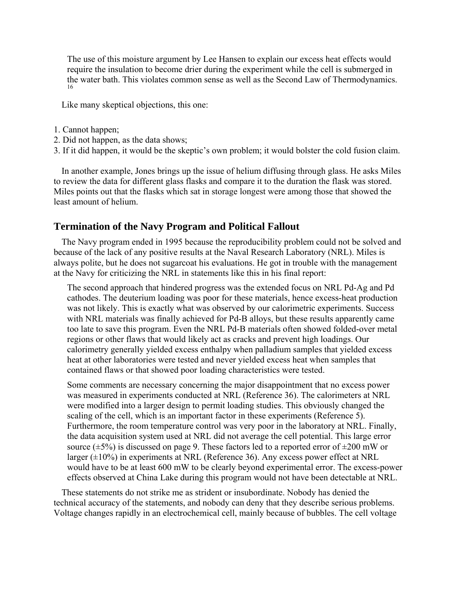The use of this moisture argument by Lee Hansen to explain our excess heat effects would require the insulation to become drier during the experiment while the cell is submerged in the water bath. This violates common sense as well as the Second Law of Thermodynamics. 16

Like many skeptical objections, this one:

- 1. Cannot happen;
- 2. Did not happen, as the data shows;
- 3. If it did happen, it would be the skeptic's own problem; it would bolster the cold fusion claim.

In another example, Jones brings up the issue of helium diffusing through glass. He asks Miles to review the data for different glass flasks and compare it to the duration the flask was stored. Miles points out that the flasks which sat in storage longest were among those that showed the least amount of helium.

# **Termination of the Navy Program and Political Fallout**

The Navy program ended in 1995 because the reproducibility problem could not be solved and because of the lack of any positive results at the Naval Research Laboratory (NRL). Miles is always polite, but he does not sugarcoat his evaluations. He got in trouble with the management at the Navy for criticizing the NRL in statements like this in his final report:

The second approach that hindered progress was the extended focus on NRL Pd-Ag and Pd cathodes. The deuterium loading was poor for these materials, hence excess-heat production was not likely. This is exactly what was observed by our calorimetric experiments. Success with NRL materials was finally achieved for Pd-B alloys, but these results apparently came too late to save this program. Even the NRL Pd-B materials often showed folded-over metal regions or other flaws that would likely act as cracks and prevent high loadings. Our calorimetry generally yielded excess enthalpy when palladium samples that yielded excess heat at other laboratories were tested and never yielded excess heat when samples that contained flaws or that showed poor loading characteristics were tested.

Some comments are necessary concerning the major disappointment that no excess power was measured in experiments conducted at NRL (Reference 36). The calorimeters at NRL were modified into a larger design to permit loading studies. This obviously changed the scaling of the cell, which is an important factor in these experiments (Reference 5). Furthermore, the room temperature control was very poor in the laboratory at NRL. Finally, the data acquisition system used at NRL did not average the cell potential. This large error source ( $\pm$ 5%) is discussed on page 9. These factors led to a reported error of  $\pm$ 200 mW or larger  $(\pm 10\%)$  in experiments at NRL (Reference 36). Any excess power effect at NRL would have to be at least 600 mW to be clearly beyond experimental error. The excess-power effects observed at China Lake during this program would not have been detectable at NRL.

These statements do not strike me as strident or insubordinate. Nobody has denied the technical accuracy of the statements, and nobody can deny that they describe serious problems. Voltage changes rapidly in an electrochemical cell, mainly because of bubbles. The cell voltage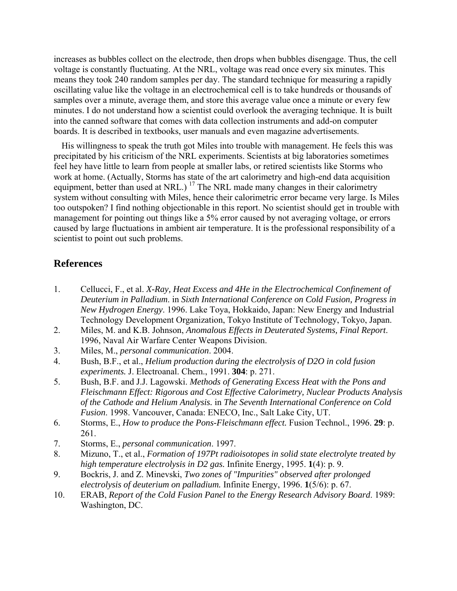increases as bubbles collect on the electrode, then drops when bubbles disengage. Thus, the cell voltage is constantly fluctuating. At the NRL, voltage was read once every six minutes. This means they took 240 random samples per day. The standard technique for measuring a rapidly oscillating value like the voltage in an electrochemical cell is to take hundreds or thousands of samples over a minute, average them, and store this average value once a minute or every few minutes. I do not understand how a scientist could overlook the averaging technique. It is built into the canned software that comes with data collection instruments and add-on computer boards. It is described in textbooks, user manuals and even magazine advertisements.

His willingness to speak the truth got Miles into trouble with management. He feels this was precipitated by his criticism of the NRL experiments. Scientists at big laboratories sometimes feel hey have little to learn from people at smaller labs, or retired scientists like Storms who work at home. (Actually, Storms has state of the art calorimetry and high-end data acquisition equipment, better than used at NRL.)<sup>17</sup> The NRL made many changes in their calorimetry system without consulting with Miles, hence their calorimetric error became very large. Is Miles too outspoken? I find nothing objectionable in this report. No scientist should get in trouble with management for pointing out things like a 5% error caused by not averaging voltage, or errors caused by large fluctuations in ambient air temperature. It is the professional responsibility of a scientist to point out such problems.

# **References**

- 1. Cellucci, F., et al. *X-Ray, Heat Excess and 4He in the Electrochemical Confinement of Deuterium in Palladium*. in *Sixth International Conference on Cold Fusion, Progress in New Hydrogen Energy*. 1996. Lake Toya, Hokkaido, Japan: New Energy and Industrial Technology Development Organization, Tokyo Institute of Technology, Tokyo, Japan.
- 2. Miles, M. and K.B. Johnson, *Anomalous Effects in Deuterated Systems, Final Report*. 1996, Naval Air Warfare Center Weapons Division.
- 3. Miles, M., *personal communication*. 2004.
- 4. Bush, B.F., et al., *Helium production during the electrolysis of D2O in cold fusion experiments.* J. Electroanal. Chem., 1991. **304**: p. 271.
- 5. Bush, B.F. and J.J. Lagowski. *Methods of Generating Excess Heat with the Pons and Fleischmann Effect: Rigorous and Cost Effective Calorimetry, Nuclear Products Analysis of the Cathode and Helium Analysis.* in *The Seventh International Conference on Cold Fusion*. 1998. Vancouver, Canada: ENECO, Inc., Salt Lake City, UT.
- 6. Storms, E., *How to produce the Pons-Fleischmann effect.* Fusion Technol., 1996. **29**: p. 261.
- 7. Storms, E., *personal communication*. 1997.
- 8. Mizuno, T., et al., *Formation of 197Pt radioisotopes in solid state electrolyte treated by high temperature electrolysis in D2 gas.* Infinite Energy, 1995. **1**(4): p. 9.
- 9. Bockris, J. and Z. Minevski, *Two zones of "Impurities" observed after prolonged electrolysis of deuterium on palladium.* Infinite Energy, 1996. **1**(5/6): p. 67.
- 10. ERAB, *Report of the Cold Fusion Panel to the Energy Research Advisory Board*. 1989: Washington, DC.